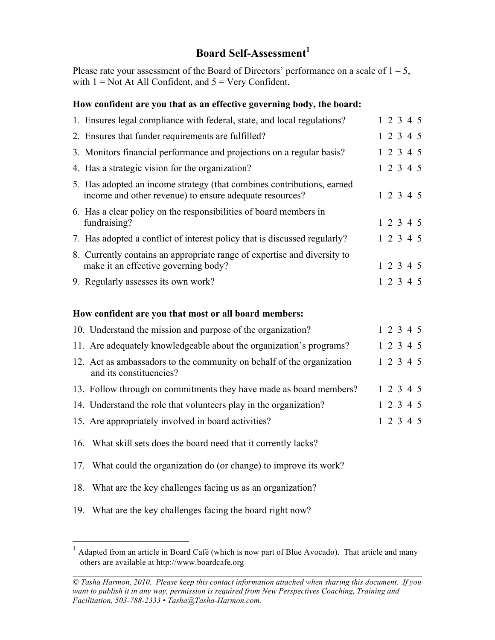## **Board Self-Assessment 1**

Please rate your assessment of the Board of Directors' performance on a scale of  $1 - 5$ , with  $1 = Not At All Conflict, and  $5 = Very confident$ .$ 

## **How confident are you that as an effective governing body, the board:**

| 1. Ensures legal compliance with federal, state, and local regulations?                                                           |  | 12345     |           |
|-----------------------------------------------------------------------------------------------------------------------------------|--|-----------|-----------|
| 2. Ensures that funder requirements are fulfilled?                                                                                |  | 1 2 3 4 5 |           |
| 3. Monitors financial performance and projections on a regular basis?                                                             |  | 1 2 3 4 5 |           |
| 4. Has a strategic vision for the organization?                                                                                   |  |           | 1 2 3 4 5 |
| 5. Has adopted an income strategy (that combines contributions, earned<br>income and other revenue) to ensure adequate resources? |  |           | 1 2 3 4 5 |
| 6. Has a clear policy on the responsibilities of board members in<br>fundraising?                                                 |  | 1 2 3 4 5 |           |
| 7. Has adopted a conflict of interest policy that is discussed regularly?                                                         |  |           | 1 2 3 4 5 |
| 8. Currently contains an appropriate range of expertise and diversity to<br>make it an effective governing body?                  |  |           | 1 2 3 4 5 |
| 9. Regularly assesses its own work?                                                                                               |  | 1 2 3 4 5 |           |
|                                                                                                                                   |  |           |           |

## **How confident are you that most or all board members:**

| 10. Understand the mission and purpose of the organization?                                      |  | $1\ 2\ 3\ 4\ 5$ |  |
|--------------------------------------------------------------------------------------------------|--|-----------------|--|
| 11. Are adequately knowledgeable about the organization's programs?                              |  | 1 2 3 4 5       |  |
| 12. Act as ambassadors to the community on behalf of the organization<br>and its constituencies? |  | 1 2 3 4 5       |  |
| 13. Follow through on commitments they have made as board members?                               |  | 1 2 3 4 5       |  |
| 14. Understand the role that volunteers play in the organization?                                |  | 1 2 3 4 5       |  |
| 15. Are appropriately involved in board activities?                                              |  | 1 2 3 4 5       |  |

16. What skill sets does the board need that it currently lacks?

17. What could the organization do (or change) to improve its work?

- 18. What are the key challenges facing us as an organization?
- 19. What are the key challenges facing the board right now?

<sup>&</sup>lt;sup>1</sup> Adapted from an article in Board Café (which is now part of Blue Avocado). That article and many others are available at http://www.boardcafe.org

*<sup>©</sup> Tasha Harmon, 2010. Please keep this contact information attached when sharing this document. If you want to publish it in any way, permission is required from New Perspectives Coaching, Training and Facilitation, 503-788-2333 • Tasha@Tasha-Harmon.com.*